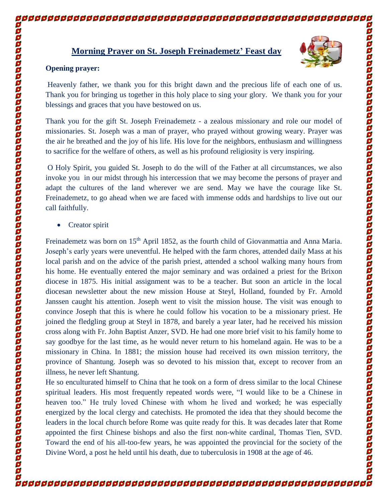## **Morning Prayer on St. Joseph Freinademetz' Feast day**



## **Opening prayer:**

Heavenly father, we thank you for this bright dawn and the precious life of each one of us. Thank you for bringing us together in this holy place to sing your glory. We thank you for your blessings and graces that you have bestowed on us.

Thank you for the gift St. Joseph Freinademetz - a zealous missionary and role our model of missionaries. St. Joseph was a man of prayer, who prayed without growing weary. Prayer was the air he breathed and the joy of his life. His love for the neighbors, enthusiasm and willingness to sacrifice for the welfare of others, as well as his profound religiosity is very inspiring.

O Holy Spirit, you guided St. Joseph to do the will of the Father at all circumstances, we also invoke you in our midst through his intercession that we may become the persons of prayer and adapt the cultures of the land wherever we are send. May we have the courage like St. Freinademetz, to go ahead when we are faced with immense odds and hardships to live out our call faithfully.

• Creator spirit

Freinademetz was born on 15<sup>th</sup> April 1852, as the fourth child of Giovanmattia and Anna Maria. Joseph's early years were uneventful. He helped with the farm chores, attended daily Mass at his local parish and on the advice of the parish priest, attended a school walking many hours from his home. He eventually entered the major seminary and was ordained a priest for the Brixon diocese in 1875. His initial assignment was to be a teacher. But soon an article in the local diocesan newsletter about the new mission House at Steyl, Holland, founded by Fr. Arnold Janssen caught his attention. Joseph went to visit the mission house. The visit was enough to convince Joseph that this is where he could follow his vocation to be a missionary priest. He joined the fledgling group at Steyl in 1878, and barely a year later, had he received his mission cross along with Fr. John Baptist Anzer, SVD. He had one more brief visit to his family home to say goodbye for the last time, as he would never return to his homeland again. He was to be a missionary in China. In 1881; the mission house had received its own mission territory, the province of Shantung. Joseph was so devoted to his mission that, except to recover from an illness, he never left Shantung.

He so enculturated himself to China that he took on a form of dress similar to the local Chinese spiritual leaders. His most frequently repeated words were, "I would like to be a Chinese in heaven too." He truly loved Chinese with whom he lived and worked; he was especially energized by the local clergy and catechists. He promoted the idea that they should become the leaders in the local church before Rome was quite ready for this. It was decades later that Rome appointed the first Chinese bishops and also the first non-white cardinal, Thomas Tien, SVD. Toward the end of his all-too-few years, he was appointed the provincial for the society of the Divine Word, a post he held until his death, due to tuberculosis in 1908 at the age of 46.